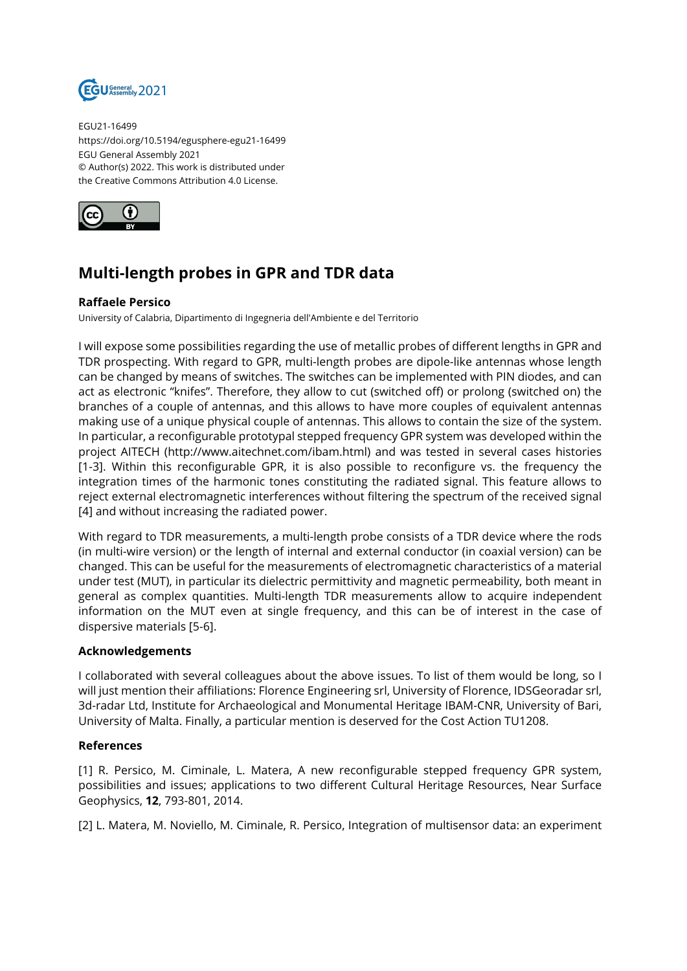

EGU21-16499 https://doi.org/10.5194/egusphere-egu21-16499 EGU General Assembly 2021 © Author(s) 2022. This work is distributed under the Creative Commons Attribution 4.0 License.



## **Multi-length probes in GPR and TDR data**

## **Raffaele Persico**

University of Calabria, Dipartimento di Ingegneria dell'Ambiente e del Territorio

I will expose some possibilities regarding the use of metallic probes of different lengths in GPR and TDR prospecting. With regard to GPR, multi-length probes are dipole-like antennas whose length can be changed by means of switches. The switches can be implemented with PIN diodes, and can act as electronic "knifes". Therefore, they allow to cut (switched off) or prolong (switched on) the branches of a couple of antennas, and this allows to have more couples of equivalent antennas making use of a unique physical couple of antennas. This allows to contain the size of the system. In particular, a reconfigurable prototypal stepped frequency GPR system was developed within the project AITECH (http://www.aitechnet.com/ibam.html) and was tested in several cases histories [1-3]. Within this reconfigurable GPR, it is also possible to reconfigure vs. the frequency the integration times of the harmonic tones constituting the radiated signal. This feature allows to reject external electromagnetic interferences without filtering the spectrum of the received signal [4] and without increasing the radiated power.

With regard to TDR measurements, a multi-length probe consists of a TDR device where the rods (in multi-wire version) or the length of internal and external conductor (in coaxial version) can be changed. This can be useful for the measurements of electromagnetic characteristics of a material under test (MUT), in particular its dielectric permittivity and magnetic permeability, both meant in general as complex quantities. Multi-length TDR measurements allow to acquire independent information on the MUT even at single frequency, and this can be of interest in the case of dispersive materials [5-6].

## **Acknowledgements**

I collaborated with several colleagues about the above issues. To list of them would be long, so I will just mention their affiliations: Florence Engineering srl, University of Florence, IDSGeoradar srl, 3d-radar Ltd, Institute for Archaeological and Monumental Heritage IBAM-CNR, University of Bari, University of Malta. Finally, a particular mention is deserved for the Cost Action TU1208.

## **References**

[1] R. Persico, M. Ciminale, L. Matera, A new reconfigurable stepped frequency GPR system, possibilities and issues; applications to two different Cultural Heritage Resources, Near Surface Geophysics, **12**, 793-801, 2014.

[2] L. Matera, M. Noviello, M. Ciminale, R. Persico, Integration of multisensor data: an experiment